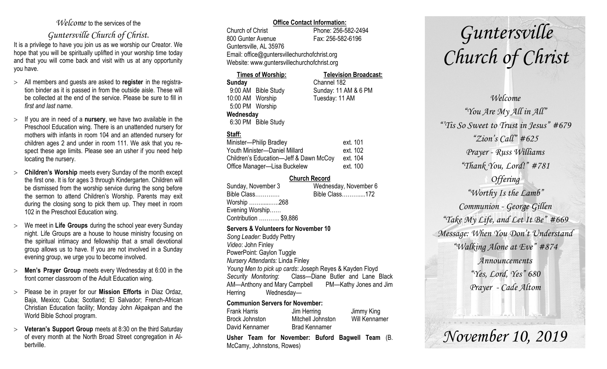#### *Welcome* to the services of the

### *Guntersville Church of Christ*.

It is a privilege to have you join us as we worship our Creator. We hope that you will be spiritually uplifted in your worship time today and that you will come back and visit with us at any opportunity you have.

- All members and guests are asked to **register** in the registration binder as it is passed in from the outside aisle. These will be collected at the end of the service. Please be sure to fill in *first and last name*.
- $\geq$  If you are in need of a **nursery**, we have two available in the Preschool Education wing. There is an unattended nursery for mothers with infants in room 104 and an attended nursery for children ages 2 and under in room 111. We ask that you respect these age limits. Please see an usher if you need help locating the nursery.
- **Children's Worship** meets every Sunday of the month except the first one. It is for ages 3 through Kindergarten. Children will be dismissed from the worship service during the song before the sermon to attend Children's Worship. Parents may exit during the closing song to pick them up. They meet in room 102 in the Preschool Education wing.
- We meet in **Life Groups** during the school year every Sunday night. Life Groups are a house to house ministry focusing on the spiritual intimacy and fellowship that a small devotional group allows us to have. If you are not involved in a Sunday evening group, we urge you to become involved.
- **Men's Prayer Group** meets every Wednesday at 6:00 in the front corner classroom of the Adult Education wing.
- Please be in prayer for our **Mission Efforts** in Diaz Ordaz, Baja, Mexico; Cuba; Scotland; El Salvador; French-African Christian Education facility; Monday John Akpakpan and the World Bible School program.
- **Veteran's Support Group** meets at 8:30 on the third Saturday of every month at the North Broad Street congregation in Albertville.

#### **Office Contact Information:**

Church of Christ Phone: 256-582-2494 800 Gunter Avenue Fax: 256-582-6196 Guntersville, AL 35976 Email: office@guntersvillechurchofchrist.org Website: www.guntersvillechurchofchrist.org

#### **Times of Worship: Television Broadcast:**

**Sunday** Channel 182 9:00 AM Bible Study Sunday: 11 AM & 6 PM 10:00 AM Worship Tuesday: 11 AM 5:00 PM Worship **Wednesday** 6:30 PM Bible Study

#### **Staff:**

| Minister-Philip Bradley                | ext. 101 |
|----------------------------------------|----------|
| Youth Minister-Daniel Millard          | ext. 102 |
| Children's Education-Jeff & Dawn McCoy | ext. 104 |
| Office Manager-Lisa Buckelew           | ext. 100 |

#### **Church Record**

| Sunday, November 3    | Wednesday, November 6 |
|-----------------------|-----------------------|
| Bible Class           | Bible Class172        |
| Worship 268           |                       |
| Evening Worship       |                       |
| Contribution  \$9,886 |                       |
|                       |                       |

#### **Servers & Volunteers for November 10**

*Song Leader:* Buddy Pettry *Video*: John Finley PowerPoint: Gaylon Tuggle *Nursery Attendants:* Linda Finley *Young Men to pick up cards*: Joseph Reyes & Kayden Floyd *Security Monitoring*: Class—Diane Butler and Lane Black AM—Anthony and Mary Campbell PM—Kathy Jones and Jim Herring Wednesday—

#### **Communion Servers for November:**

|                     | Llahar Taam far Navember Dufard Damuell Taam |               |
|---------------------|----------------------------------------------|---------------|
| David Kennamer      | <b>Brad Kennamer</b>                         |               |
| Brock Johnston      | Mitchell Johnston                            | Will Kennamer |
| <b>Frank Harris</b> | Jim Herring                                  | Jimmy King    |

**Usher Team for November: Buford Bagwell Team** (B. McCamy, Johnstons, Rowes)

# *Guntersville Church of Christ*

*Welcome "You Are My All in All" "'Tis So Sweet to Trust in Jesus" #679 "Zion's Call" #625 Prayer - Russ Williams "Thank You, Lord!" #781 Offering "Worthy Is the Lamb" Communion - George Gillen "Take My Life, and Let It Be" #669 Message: When You Don't Understand "Walking Alone at Eve" #874 Announcements "Yes, Lord, Yes" 680 Prayer - Cade Altom*

*November 10, 2019*